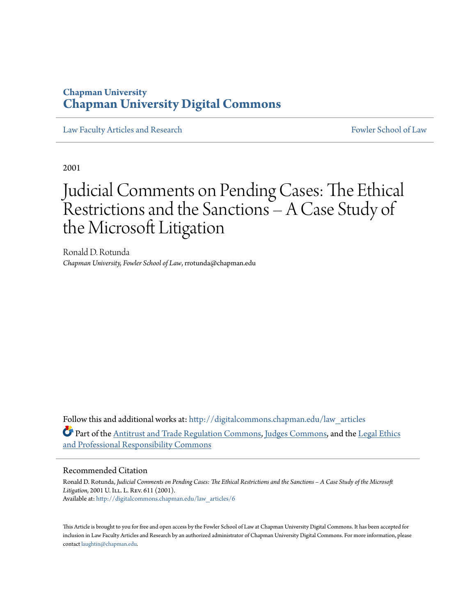## **Chapman University [Chapman University Digital Commons](http://digitalcommons.chapman.edu?utm_source=digitalcommons.chapman.edu%2Flaw_articles%2F6&utm_medium=PDF&utm_campaign=PDFCoverPages)**

[Law Faculty Articles and Research](http://digitalcommons.chapman.edu/law_articles?utm_source=digitalcommons.chapman.edu%2Flaw_articles%2F6&utm_medium=PDF&utm_campaign=PDFCoverPages) [Fowler School of Law](http://digitalcommons.chapman.edu/fowlerlaw?utm_source=digitalcommons.chapman.edu%2Flaw_articles%2F6&utm_medium=PDF&utm_campaign=PDFCoverPages)

2001

# Judicial Comments on Pending Cases: The Ethical Restrictions and the Sanctions – A Case Study of the Microsoft Litigation

Ronald D. Rotunda *Chapman University, Fowler School of Law*, rrotunda@chapman.edu

Follow this and additional works at: [http://digitalcommons.chapman.edu/law\\_articles](http://digitalcommons.chapman.edu/law_articles?utm_source=digitalcommons.chapman.edu%2Flaw_articles%2F6&utm_medium=PDF&utm_campaign=PDFCoverPages) Part of the [Antitrust and Trade Regulation Commons,](http://network.bepress.com/hgg/discipline/911?utm_source=digitalcommons.chapman.edu%2Flaw_articles%2F6&utm_medium=PDF&utm_campaign=PDFCoverPages) [Judges Commons](http://network.bepress.com/hgg/discipline/849?utm_source=digitalcommons.chapman.edu%2Flaw_articles%2F6&utm_medium=PDF&utm_campaign=PDFCoverPages), and the [Legal Ethics](http://network.bepress.com/hgg/discipline/895?utm_source=digitalcommons.chapman.edu%2Flaw_articles%2F6&utm_medium=PDF&utm_campaign=PDFCoverPages) [and Professional Responsibility Commons](http://network.bepress.com/hgg/discipline/895?utm_source=digitalcommons.chapman.edu%2Flaw_articles%2F6&utm_medium=PDF&utm_campaign=PDFCoverPages)

### Recommended Citation

Ronald D. Rotunda, *Judicial Comments on Pending Cases: The Ethical Restrictions and the Sanctions – A Case Study of the Microsoft* Litigation, 2001 U. ILL. L. REV. 611 (2001). Available at: [http://digitalcommons.chapman.edu/law\\_articles/6](http://digitalcommons.chapman.edu/law_articles/6?utm_source=digitalcommons.chapman.edu%2Flaw_articles%2F6&utm_medium=PDF&utm_campaign=PDFCoverPages)

This Article is brought to you for free and open access by the Fowler School of Law at Chapman University Digital Commons. It has been accepted for inclusion in Law Faculty Articles and Research by an authorized administrator of Chapman University Digital Commons. For more information, please contact [laughtin@chapman.edu](mailto:laughtin@chapman.edu).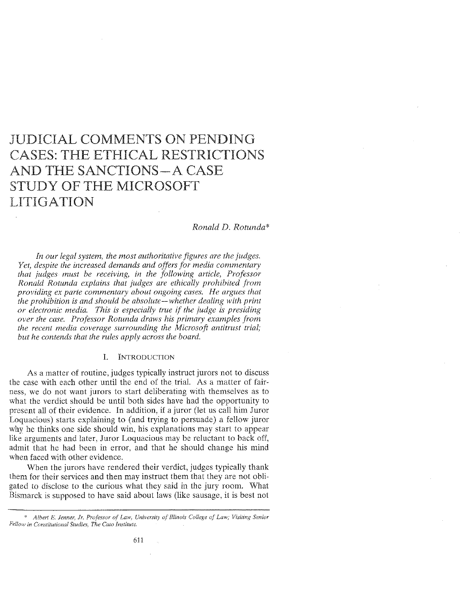# JUDICIAL COMMENTS ON PENDING CASES: THE ETHICAL RESTRICTIONS AND THE SANCTIONS-A CASE STUDY OF THE MICROSOFT LITIGATION

#### *Ronald D. Rotunda\**

*In our legal system, the most authoritative figures are the judges. Yet, despite the increased demands and offers for media commentary that judges must be receiving, in the following article, Professor Ronald Rotunda explains that judges are ethically prohibited from providing ex parte commentary about ongoing cases. He argues that the prohibition is and should be absolute-whether dealing with print or electronic media. This is especially true if the judge is presiding over the case. Professor Rotunda draws his primary examples from the recent media coverage surrounding the Microsofi antitrust trial; but he contends that the rules apply across the board.* 

#### I. INTRODUCTION

As a matter of routine, judges typically instruct jurors not to discuss the case with each other until the end of the trial. As a matter of fairness, we do not want jurors to start deliberating with themselves as to what the verdict should be until both sides have had the opportunity to present all of their evidence. In addition, if a juror (let us call him Juror Loquacious) starts explaining to (and trying to persuade) a fellow juror why he thinks one side should win, his explanations may start to appear like arguments and later, Juror Loquacious may be reluctant to back off, admit that he had been in error, and that he should change his mind when faced with other evidence.

When the jurors have rendered their verdict, judges typically thank them for their services and then may instruct them that they are not obligated to disclose to the curious what they said in the jury room. What Bismarck is supposed to have said about laws (like sausage, it is best not

<sup>\*</sup> Albert E. Jenner, Jr. Professor of Law, University of Illinois College of Law; Visiting Senior *Fellow in Constitutional Studies, The Cato Institute.*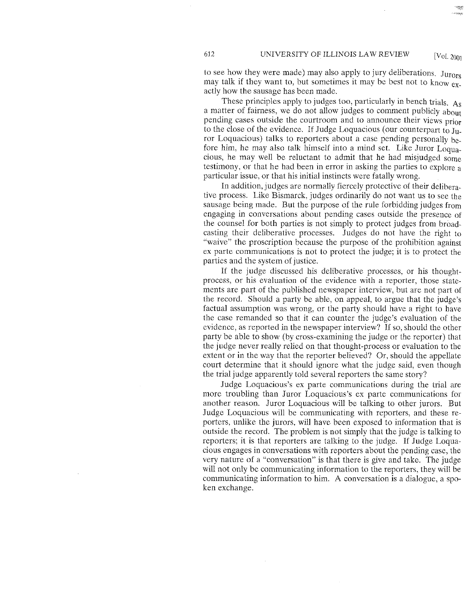to see how they were made) may also apply to jury deliberations. Jurors may talk if they want to, but sometimes it may be best not to know  $ex$ . actly how the sausage has been made.

These principles apply to judges too, particularly in bench trials. As a matter of fairness, we do not allow judges to comment publicly about pending cases outside the courtroom and to announce their views prior to the close of the evidence. If Judge Loquacious (our counterpart to  $J_{11}$ . ror Loquacious) talks to reporters about a case pending personally before him, he may also talk himself into a mind set. Like Juror Loquacious, he may well be reluctant to admit that he had misjudged some testimony, or that he had been in error in asking the parties to explore a particular issue, or that his initial instincts were fatally wrong.

In addition, judges are normally fiercely protective of their deliberative process. Like Bismarck, judges ordinarily do not want us to see the sausage being made. But the purpose of the rule forbidding judges from engaging in conversations about pending cases outside the presence of the counsel for both parties is not simply to protect judges from broadcasting their deliberative processes. Judges do not have the right to "waive" the proscription because the purpose of the prohibition against ex parte communications is not to protect the judge; it is to protect the parties and the system of justice.

If the judge discussed his deliberative processes, or his thoughtprocess, or his evaluation of the evidence with a reporter, those statements are part of the published newspaper interview, but are not part of the record. Should a party be able, on appeal, to argue that the judge's factual assumption was wrong, or the party should have a right to have the case remanded so that it can counter the judge's evaluation of the evidence, as reported in the newspaper interview? If so, should the other party be able to show (by cross-examining the judge or the reporter) that the judge never really relied on that thought-process or evaluation to the extent or in the way that the reporter believed? Or, should the appellate court determine that it should ignore what the judge said, even though the trial judge apparently told several reporters the same story?

Judge Loquacious's ex parte communications during the trial are more troubling than Juror Loquacious's ex parte communications for another reason. Juror Loquacious will be talking to other jurors. But Judge Loquacious will be communicating with reporters, and these reporters, unlike the jurors, will have been exposed to information that is outside the record. The problem is not simply that the judge is talking to reporters; it is that reporters are talking to the judge. If Judge Loquacious engages in conversations with reporters about the pending case, the very nature of a "conversation" is that there is give and take. The judge will not only be communicating information to the reporters, they will be communicating information to him. *A* conversation is a dialogue, a spoken exchange.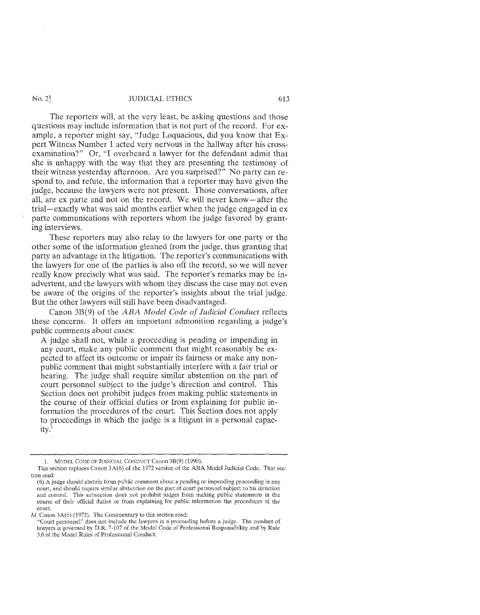The reporters will, at the very least, be asking questions and those questions may include information that is not part of the record. For example, a reporter might say, "Judge Loquacious, did you know that Expert Witness Number 1 acted very nervous in the hallway after his crossexamination?" Or, "I overheard a lawyer for the defendant admit that she is unhappy with the way that they are presenting the testimony of their witness yesterday aiternoon. Are you surprised?" No party can respond to, and refute, the information that a reporter may have given the judge, because the lawyers were not present. Those conversations, after all, are ex parte and not on the record. We will never know-after the trial-exactly what was said months earlier when the judge engaged in ex parte communications with reporters whom the judge favored by granting interviews.

These reporters may also relay to the lawyers for one party or the other some of the information gleaned from the judge, thus granting that party an advantage in the litigation. The reporter's communications with the lawyers for one of the parties is also off the record, so we will never really know precisely what was said. The reporter's remarks may be inadvertent, and the lawyers with whom they discuss the case may not even be aware of the origins of the reporter's insights about the trial judge. But the other lawyers will still have been disadvantaged.

Canon 3B(9) of the *ABA Model Code of Judicial Conduct* reflects these concerns. It offers an important admonition regarding a judge's public comments about cases:

A judge shall not, while a proceeding is pending or impending in any court, make any public comment that might reasonably be expected to affect its outcome or impair its fairness or make any nonpublic comment that might substantially interfere with a fair trial or hearing. The judge shall require similar abstention on the part of court personnel subject to the judge's direction and control. This Section does not prohibit judges from making public statements in the course of their official duties or from explaining for public information the procedures of the court. This Section does not apply to proceedings in which the judge is a litigant in a personal capacityl

<sup>1.</sup> MODEL CODE OF JUDICIAL CONDUCT Canon3B(9) (1990).

This section replaces Canon 3A(6) of the 1972 version of the ABA Model Judicial Code. That section read:

<sup>(6)</sup> A judge should abstain from public comment about a pending or impending proceeding in any court, and should require similar abstention on the part of court personnel subject to his direction and control. This subsection does not prohibit judges from making public statements in the course of their official duties or from explaining for public information the procedures of the court

*<sup>!</sup>d.* Canon 3A(6) (1972). The Commentary to this section read:

<sup>&</sup>quot;Court personnel" does not include the lawyers in a proceeding before a judge. The conduct of lawyers is governed by D.R. 7-107 of the Model Code of Professional Responsibility and by Rule 3.6 of the Model Rules of Professional Conduct.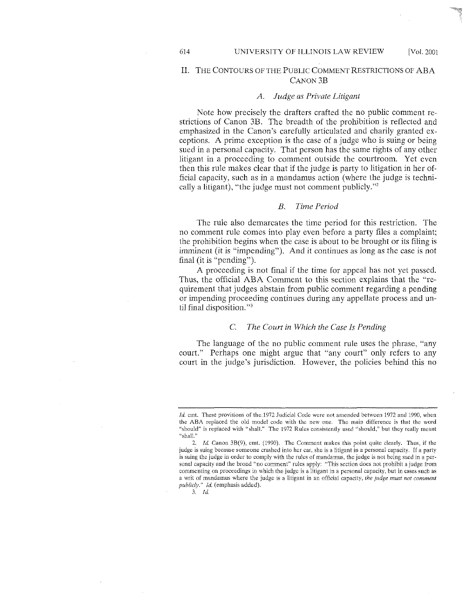#### 614 UNIVERSITY OF ILLINOIS LAW REVIEW [Vol. 2001

#### II. THE CONTOURS OF THE PUBLIC COMMENT RESTRICTIONS OF ABA CANON3B

#### *A. Judge as Private Litigant*

Note how precisely the drafters crafted the no public comment restrictions of Canon 3B. The breadth of the prohibition is reflected and emphasized in the Canon's carefully articulated and charily granted exceptions. A prime exception is the case of a judge who is suing or being sued in a personal capacity. That person has the same rights of any other litigant in a proceeding to comment outside the courtroom. Yet even then this rule makes clear that if the judge is party to litigation in her official capacity, such as in a mandamus action (where the judge is technically a litigant), "the judge must not comment publicly."<sup>2</sup>

#### *B. Time Period*

The rule also demarcates the time period for this restriction. The no comment rule comes into play even before a party files a complaint; the prohibition begins when the case is about to be brought or its filing is imminent (it is "impending"). And it continues as long as the case is not final (it is "pending").

A proceeding is not final if the time for appeal has not yet passed. Thus, the official ABA Comment to this section explains that the "requirement that judges abstain from public comment regarding a pending or impending proceeding continues during any appellate process and until final disposition."<sup>3</sup>

#### C. *The Court in Which the Case h Pending*

The language of the no public comment rule uses the phrase, "any court." Perhaps one might argue that "any court" only refers to any court in the judge's jurisdiction. However, the policies behind this no

3. */d.* 

*Id.* cmt. These provisions of the.1972 Judicial Code were not amended between 1972 and 1990, when the ABA replaced the old model code with the new one. The main difference is that the word ·'should" is replaced with "shall." The 1972 Rules consistently used "should," but they really meant "shall.'"

<sup>2.</sup> Id. Canon  $3B(9)$ , cmt. (1990). The Comment makes this point quite clearly. Thus, if the judge is suing because someone crashed into her car, she is a litigant in a personal capacity. If a party is suing the judge in order to comply with the rules of mandamus, the judge is not being sued in a personal capacity and the broad "no comment" rules apply: "This section does not prohibit a judge from commenting on proceedings in which the judge is a litigant in a personal capacity, but in cases such as a writ of mandamus where the judge is a litigant in an official capacity, *the judge must not comment publicly." !d.* (emphasis added).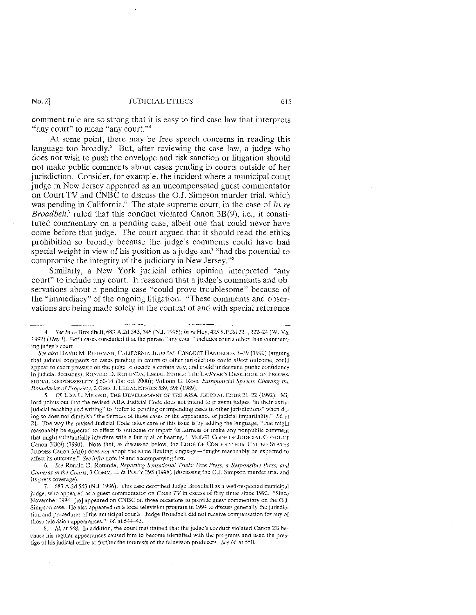comment rule are so strong that it is easy to find case law that interprets "any court" to mean "any court."<sup>4</sup>

At some point, there may be free speech concerns in reading this language too broadly.<sup>5</sup> But, after reviewing the case law, a judge who does not wish to push the envelope and risk sanction or litigation should not make public comments about cases pending in courts outside of her jurisdiction. Consider, for example, the incident where a municipal court judge in New Jersey appeared as an uncompensated guest commentator on Court TV and CNBC to discuss the O.J. Simpson murder trial, which was pending in California.<sup>6</sup> The state supreme court, in the case of *In re Broadbelt*,<sup>7</sup> ruled that this conduct violated Canon 3B(9), i.e., it constituted commentary on a pending case, albeit one that could never have come before that judge. The court argued that it should read the ethics prohibition so broadly because the judge's comments could have had special weight in view of his position as a judge and "had the potential to compromise the integrity of the judiciary in New Jersey."8

Similarly, a New York judicial ethics opinion interpreted "any court" to include any court. It reasoned that a judge's comments and observations about a pending case "could prove troublesome" because of the "immediacy" of the ongoing litigation. "These comments and observations are being made solely in the context of and with special reference

5. Cf. LISA L. MILORD, THE DEVELOPMENT OF THE ABA JUDICIAL CODE 21-22 (1992). Milord points out that the revised ABA Judicial Code does not intend to prevent judges "in their extrajudicial teaching and writing" to "refer to pending or impending cases in other jurisdictions" when doing so does not diminish "the fairness of those cases or the appearance of judicial impartiality." *!d.* at 21. The way the revised Judicial Code takes care of this issue is by adding the language, "that might reasonably be expected to affect its outcome or impair its fairness or make any nonpublic comment that might substantially interfere with a fair trial or hearing." MODEL CoDE OF JUDICIAL COKDUCT Canon 3B(9) (1990). Note that, as discussed below, the CODE OF CONDUCT FOR UNITED STATES JUDGES Canon 3A(6) does *not* adopt the same limiting language-"might reasonably be expected to affect its outcome." *See infra* note 19 and accompanying text.

6. *See* Ronald D. Rotunda, *Reporting Sensational Trials: Free Press, a Responsible Press, and Cameras in the Courts,* 3 COMM. L. & PoL'Y 295 (1998) (discussing the O.J. Simpson murder trial and its press coverage).

7. 683 A.2d 543 (N.J. 1996). This case described Judge Broadbelt as a well-respected municipal judge, who appeared as a guest commentator on *Court* TV in excess of fifty times since 1992. "Since November 1994, [he] appeared on CNBC on three occasions to provide guest commentary on the O.J. Simpson case. He also appeared on a local television program in 1994 to discuss generally the jurisdiction and procedures of the municipal courts. Judge Broadbelt did not receive compensation for any of those television appearances."  $Id.$  at 544-45.

1d. at 548. In addition, the court maintained that the judge's conduct violated Canon 2B because his regular appearances caused him to become identified with the programs and used the prestige of his judicial office to further the interests of the television producers. *See id.* at 550.

See In re Broadbelt, 683 A.2d 543, 546 (N.J. 1996); *In re* Hey, 425 S.E.2d 221, 222-24 (W. Va. 1992) *(Hey I)*. Both cases concluded that the phrase "any court" includes courts other than commenting judge's court.

See also DAVID M. ROTHMAN, CALIFORNIA JUDICIAL CONDUCT HANDBOOK 1-39 (1990) (arguing that judicial comments on cases pending in courts of other jurisdictions could affect outcome, could appear to exert pressure on the judge to decide a certain way, and could undermine public confidence in judicial decisions); RONALD D. ROTUNDA, LEGALETHlCS: THE LAWYER'S DESKBOOK ON PROFES· SIONAL RESPONSIBILITY§ 60-L4 (1st ed. 2000); William G. Ross, *Extrajudicial Speech: Charting the Boundaries of Propriety,* 2 GEO. J. LEGAL ETHICS 589, 598 (1989).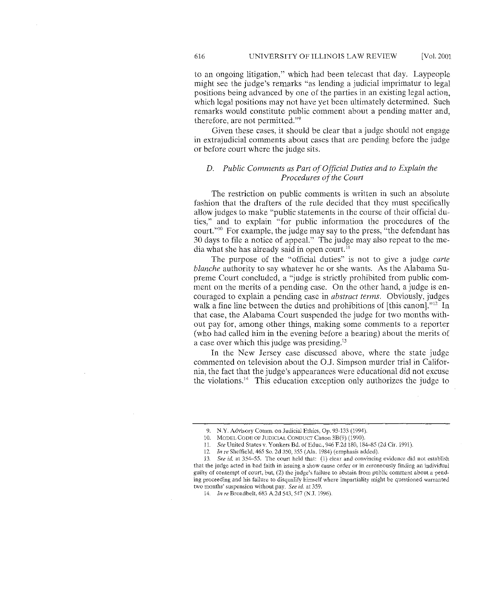to an ongoing litigation," which had been telecast that day, Laypeople might see the judge's remarks "as lending a judicial imprimatur to legal positions being advanced by one of the parties in an existing legal action, which legal positions may not have yet been ultimately determined. Such remarks would constitute public comment about a pending matter and, therefore, are not permitted."9

Given these cases, it should be clear that a judge should not engage in extrajudicial comments about cases that are pending before the judge or before court where the judge sits.

#### *D.* Public Comments as Part of Official Duties and to Explain the *Procedures of the Court*

The restriction on public comments is written in such an absolute fashion that the drafters of the rule decided that they must specifically allow judges to make "public statements in the course of their official duties," and to explain "for public information the procedures of the court."10 For example, the judge may say to the press, "the defendant has 30 days to file a notice of appeal." The judge may also repeat to the media what she has already said in open court. $^{11}$ 

The purpose of the "official duties" is not to give a judge *carte blanche* authority to say whatever he or she wants. As the Alabama Supreme Court concluded, a "judge is strictly prohibited from public comment on the merits of a pending case. On the other hand, a judge is encouraged to explain a pending case in *abstract terms.* Obviously, judges walk a fine line between the duties and prohibitions of [this canon]."<sup>12</sup> In that case, the Alabama Court suspended the judge for two months without pay for, among other things, making some comments to a reporter (who had called him in the evening before a hearing) about the merits of a case over which this judge was presiding.<sup>13</sup>

In the New Jersey case discussed above, where the state judge commented on television about the O.J. Simpson murder trial in California, the fact that the judge's appearances were educational did not excuse the violations.14 This education exception only authorizes the judge to

14. *In re* Broadbelt, 683 A.2d 543,547 (N.J. 1996).

<sup>9.</sup> N.Y. Advisory Comm. on Judicial Ethics, Op. 93-133 (1994).

<sup>10.</sup> MODEL CODE OF JUDICIAL CONDUCT Canon 3B(9) (1990).

<sup>11.</sup> *See* United States v. Yonkers Bd. ofEduc., 946 F.2d 180, 184-85 (2d Cir. 1991).

<sup>12.</sup> *In re* Sheffield, 465 So. 2d 350,355 (Ala. 1984) (emphasis added).

l3. *See id.* at 354~55. The court held that: (1) clear and convincing evidence did not establish

that the judge acted in bad faith in issuing a show cause order or in erroneously finding an individual guilty of contempt of court, but, (2) the judge's failure to abstain from public comment about a pending proceeding and his failure to disqualify himself where impartiality might be questioned warranted two months' suspension without pay. *See id.* at 359.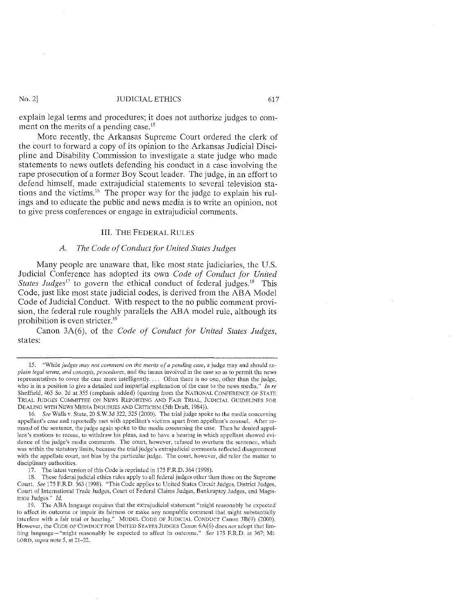explain legal terms and procedures; it does not authorize judges to comment on the merits of a pending case.<sup>15</sup>

More recently, the Arkansas Supreme Court ordered the clerk of the court to forward a copy of its opinion to the Arkansas Judicial Discipline and Disability Commission to investigate a state judge who made statements to news outlets defending his conduct in a case involving the rape prosecution of a former Boy Scout leader. The judge, in an effort to defend himself, made extrajudicial statements to several television stations and the victims.<sup>16</sup> The proper way for the judge to explain his rulings and to educate the public and news media is to write an opinion, not to give press conferences or engage in extrajudicial comments.

#### IlL THE FEDERAL RULES

#### *A. The Code of Conduct for United States Judges*

Many people are unaware that, like most state judiciaries, the U.S. Judicial Conference has adopted its own *Code of Conduct for United States Judges*<sup>17</sup> to govern the ethical conduct of federal judges.<sup>18</sup> This Code, just like most state judicial codes, is derived from the ABA Model Code of Judicial Conduct. With respect to the no public comment provision, the federal rule roughly parallels the ABA model rule, although its prohibition is even stricter. $19$ 

Canon 3A(6), of the *Code of Conduct for United States Judges,*  states:

<sup>15. &</sup>quot;While *judges may not comment on the merits of a pending case,* a judge may and should *explain legal terms, and concepts, procedures, and the issues involved in the case so as to permit the news* representatives to cover the case more intelligently. Often there is no one, other than the judge, who is in a position to give a detailed and impartial explanation of the case to the news media." *In re* Sheffield, 465 So. 2d at 355 (emphasis added) (quoting from the NATIONAL CONFERENCE OF STATE TRIAL JUDGES COMMITTEE ON NEWS REPORTING AND FAIR TRIAL, JUDICIAL GUIDELINES FOR DEALING WITH NEWS MEDIA INQUIRIES AND CRITICISM (5th Draft, 1984)).

<sup>16.</sup> *See* Walls v. State, 20 S.W.3d 322, 325 (2000). The trial judge spoke to the media concerning appellant's case and reportedly met with appellant's victims apart from appellant's counsel. After re~ mand of the sentence, the judge again spoke to the media concerning the case. Then he denied appellant's motions to recuse, to withdraw his pleas, and to have a hearing in which appellant showed evidence of the judge's media comments. The court, however, refused to overturn the sentence, which was within the statutory limits, because the trial judge's extrajudicial comments reflected disagreement with the appellate court, not bias by the particular judge. The court, however, did refer the malter to disciplinary authorities.

<sup>17.</sup> The latest version of this Code is reprinted in 175 F.R.D. 364 (1998).

<sup>18.</sup> These federal judicial ethics rules apply to all federal judges other than those on the Supreme Court. *See* 175 F.R.D. 363 (1998). "This Code applies to United States Circuit Judges, District Judges. Court of International Trade Judges, Court of Federal Claims Judges, Bankruptcy Judges, and Magis~ trate Judges." *!d.* 

<sup>19.</sup> The ABA language requires that the extrajudicial statement "might reasonably be expected to affect its outcome or impair its fairness or make any nonpublic comment lhat might substantially interfere with a fair trial or hearing." MODEL CODE OF JUDICIAL CONDUCT Canon 3B(9) (2000). However, the CODE OF CONDUCT FOR UNITED STATES JUDGES Canon 6A(6) does not adopt that limiting language-"might reasonably be expected to affect its outcome." *See* 175 F.R.D. at 367; Mr. LORD, supra note 5, at 21-22.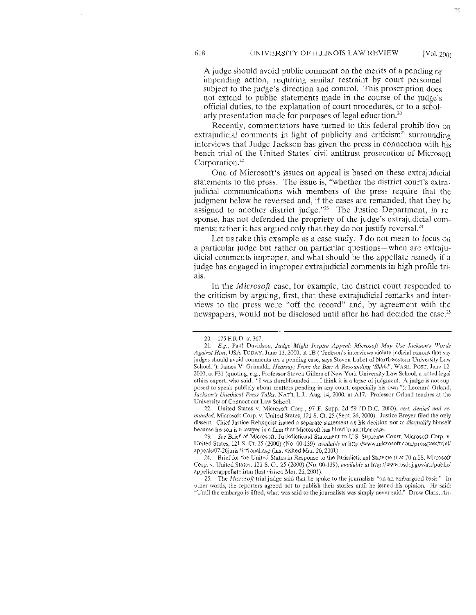A judge should avoid public comment on the merits of a pending or impending action, requiring similar restraint by court personnel subject to the judge's direction and control. This proscription does not extend to public statements made in the course of the judge's official duties, to the explanation of court procedures, or to a scholarly presentation made for purposes of legal education.20

Recently, commentators have turned to this federal prohibition on extrajudicial comments in light of publicity and criticism<sup>21</sup> surrounding interviews that Judge Jackson has given the press in connection with his bench trial of the United States' civil antitrust prosecution of Microsoft Corporation.<sup>22</sup>

One of Microsoft's issues on appeal is based on these extrajudicial statements to the press. The issue is, "whether the district court's extrajudicial communications with members of the press require that the judgment below be reversed and, if the cases are remanded, that they be assigned to another district judge."<sup>23</sup> The Justice Department, in response, has not defended the propriety of the judge's extrajudicial comments; rather it has argued only that they do not justify reversal. $^{24}$ 

Let us take this example as a case study. I do not mean to focus on a particular judge but rather on particular questions-when are extrajudicial comments improper, and what should be the appellate remedy if a judge has engaged in improper extrajudicial comments in high profile trials.

In the *Microsoft* case, for example, the district court responded to the criticism by arguing, first, that these extrajudicial remarks and interviews to the press were "off the record" and, by agreement with the newspapers, would not be disclosed until after he had decided the case.<sup>25</sup>

22. United States v. Microsoft Corp., 97 F. Supp. 2d 59 *(D.D.C.* 2000), *cert. denied and remanded,* Microsoft Corp. v. United States, 121 S. Ct. 25 (Sept. 26, 2000). Justice Breyer filed the only dissent. Chief Justice Rehnquist issued a separate statement on his decision not to disqualify himself because his son is a lawyer in a firm that Microsoft has hired in another case.

23. *See* Brief of Microsoft, Jurisdictional Statement to U.S. Supreme Court, Microsoft Corp. v. United States, 121 S. Ct. 25 (2000) (No. 00-139), *available at http://www.microsoft.com/presspass/trial/* appeals/07-26jurisdictional.asp (last visited Mar. 26, 2001).

24. Brief for the United States in Response to the Jurisdictional Statement at 20 n.l8, Microsoft Corp. v. United States, 121 S. Ct. 25 (2000) (No. 00-139), *available at http://www.usdoj.gov/atr/public/* appellate/appellate.htm (last visited Mar. 26, 2001).

25. The *Microsoft* trial judge said that he spoke to the journalists "on an embargoed basis." In other words, the reporters agreed not to publish their stories until he issued his opinion. He said: "Until the embargo is lifted, what was said to the journalists was simply never said." Drew Clark, *An-*

<sup>20. 175</sup> F.R.D. at 367.

<sup>21.</sup> *E.g.,* Paul Davidson. *Judge Might Inspire Appeal: Microsoft May Use Jackson's Words Against Him,* USA TODAY, June 13, 2000, at 1B ("Jackson's interviews violate judicial canons that say judges should avoid comments on a pending case, says Steven Lubet of Northwestern University Law School."); James V. Grimaldi, *Hearsay; From the Bar: A Resounding 'Shhh!'*, WASH. POST, June 12, 2000, at F31 (quoting, e.g., Professor Steven Gillers of New York University Law School, a noted legal ethics expert, who said: "I was dumbfounded ... I think it is a lapse of judgment. A judge is not supposed to speak publicly about matters pending in any court, especially his own."); Leonard Orland. *Jackson's Unethical Press Talks,* NAT'L L.L Aug. 14, 2000, at A17. Professor Orland teaches at the University of Connecticut Law School.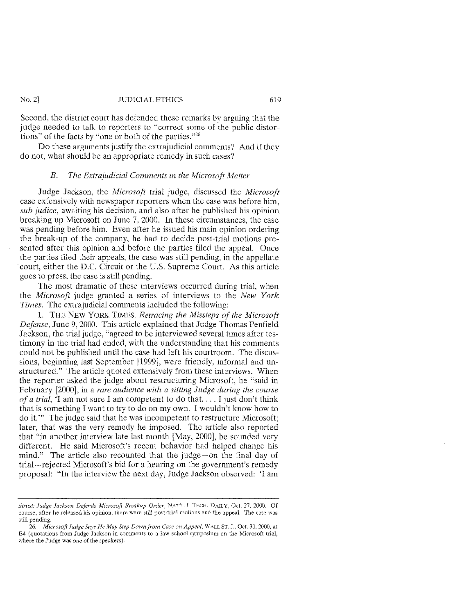Second, the district court has defended these remarks by arguing that the judge needed to talk to reporters to "correct some of the public distortions" of the facts by "one or both of the parties."26

Do these arguments justify the extrajudicial comments? And if they do not, what should be an appropriate remedy in such cases?

#### *B. The Extrajudicial Comments in the Microsoft Matter*

Judge Jackson, the *Microsofi* trial judge, discussed the *Microsoft*  case extensively with newspaper reporters when the case was before him, *sub judice,* awaiting his decision, and also after he published his opinion breaking up Microsoft on June 7, 2000. In these circumstances, the case was pending before him. Even after he issued his main opinion ordering the break-up of the company, he had to decide post-trial motions presented after this opinion and before the parties filed the appeal. Once the parties filed their appeals, the case was still pending, in the appellate court, either the D.C. Circuit or the U.S. Supreme Court. As this article goes to press, the case is still pending.

The most dramatic of these interviews occurred during trial, when the *Microsoft* judge granted a series of interviews to the *New York Times.* The extrajudicial comments included the following:

1. THE NEW YORK TIMES, *Retracing the Missteps of the Microsoft Defense,* June 9, 2000. This article explained that Judge Thomas Penfield Jackson, the trial judge, "agreed to be interviewed several times after testimony in the trial had ended, with the understanding that his comments conld not be published until the case had left his courtroom. The discussions, beginning last September [1999], were friendly, informal and unstructured." The article quoted extensively from these interviews. When the reporter asked the judge about restructuring Microsoft, he "said in February [2000], in a *rare audience with a sitting Judge during the course of a trial,* 'I am not sure I am competent to do that. ... I just don't think that is something I want to try to do on my own. I wouldn't know how to do it."' The judge said that he was incompetent to restructure Microsoft; later, that was the very remedy he imposed. The article also reported that "in another interview late last month [May, 2000], he sounded very different. He said Microsoft's recent behavior had helped change his mind." The article also recounted that the judge-on the final day of trial-rejected Microsoft's bid for a hearing on the government's remedy proposal: "In the interview the next day, Judge Jackson observed: 'I am

*titrust: Judge Jackson* Defend~ *Microsoft Breakup Order,* NAT'LJ. TECH. DAILY, Oct. 27,2000. Of course, after he released his opinion, there were still post-trial motions and the appeal. The case was still pending.

<sup>26.</sup> *Microsoft fudge Says He May Step Down from Case on Appeal,* WALL ST. J., Oct. 30, 2000, at B4 (quotations from Judge Jackson in comments to a law school symposium on the Microsoft trial, where the Judge was one of the speakers).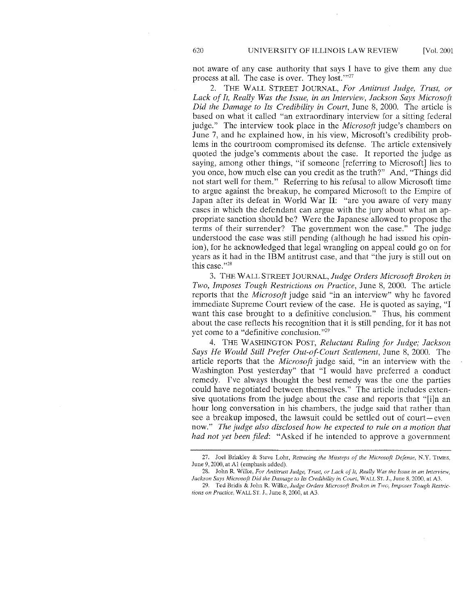not aware of any case authority that says I have to give them any due process at all. The case is over. They lost."<sup>27</sup>

2. THE WALL STREET JOURNAL, *For Antitrust Judge, Trust, or*  Lack of It, Really Was the Issue, *in an Interview, Jackson Says Microsoft Did the Damage to Its Credibility in Court,* June 8, 2000. The article is based on what it called "an extraordinary interview for a sitting federal judge." The interview took place in the *Microsoft* judge's chambers on June 7, and he explained how, in his view, Microsoft's credibility problems in the courtroom compromised its defense. The article extensively quoted the judge's comments about the case. It reported the judge as saying, among other things, "if someone [referring to Microsoft] lies to you once, how much else can you credit as the truth?" And, "Things did not start well for them." Referring to his refusal to allow Microsoft time to argue against the breakup, he compared Microsoft to the Empire of Japan after its defeat in World War II: "are you aware of very many cases in which the defendant can argue with the jury about what an appropriate sanction should be? Were the Japanese allowed to propose the terms of their surrender? The government won the case." The judge understood the case was stili pending (although he had issued his opinion), for he acknowledged that legal wrangling on appeal could go on for years as it had in the IBM antitrust case, and that "the jury is still out on this case. "28

3. THEW ALL STREET JOURNAL, *Judge Orders Microsoft Broken in Two, Imposes Tough Restrictions on Practice,* June 8, 2000. The article reports that the *Microsoft* judge said "in an interview" why he favored immediate Supreme Court review of the case. He is quoted as saying, "I want this case brought to a definitive conclusion." Thus, his comment about the case reflects his recognition that it is still pending, for it has not yet come to a "definitive conclusion. "29

4. THE WASHINGTON POST, *Reluctant Ruling for Judge; Jackson Says He Would Still Prefer Out-of-Court Settlement,* June 8, 2000. The article reports that the *Microsoft* judge said, "in an interview with the Washington Post yesterday" that "I would have preferred a conduct remedy. I've always thought the best remedy was the one the parties could have negotiated between themselves." The article includes extensive quotations from the judge about the case and reports that "[i]n an hour long conversation in his chambers, the judge said that rather than see a breakup imposed, the lawsuit could be settled out of court-even now." *The judge also disclosed how he expected to rule on a motion that had not yet been filed:* "Asked if he intended to approve a government

<sup>27.</sup> Joel Brinkley & Steve Lohr, *Retracing the Missteps of the Microsofi Defense,* N.Y. TIMES. June 9, 2000, at Al (emphasis added).

<sup>28.</sup> John R Wilke, *For Antitrust Judge, Trust, or Lack of It, Reafly Was the Issue in an Interview, Jackson Says Microsoft Did the Damage to Its Credibifity in Court,* WALL ST. J., June 8, 2000, at A3.

<sup>29.</sup> Ted Bridis & John R. Wilke, Judge Orders Microsoft Broken in Two, Imposes Tough Restric*tions on Practice,* WALL ST. J., June 8, 2000, at A3.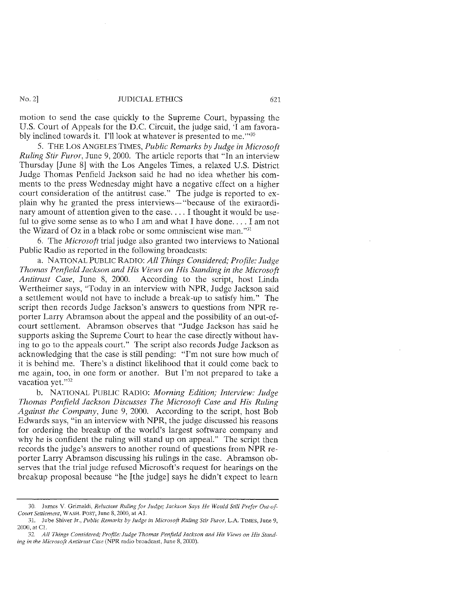motion to send the case quickly to the Supreme Court, bypassing the U.S. Court of Appeals for the D.C. Circuit, the judge said, 'I am favorably inclined towards it. I'll look at whatever is presented to me."<sup>30</sup>

5. THE Los ANGELES TIMES, *Public Remarks by Judge in Microsoft Ruling Stir Furor,* June 9, 2000. The article reports that "In an interview Thursday [June 8] with the Los Angeles Times, a relaxed U.S. District Judge Thomas Penfield Jackson said he had no idea whether his comments to the press Wednesday might have a negative effect on a higher court consideration of the antitrust case." The judge is reported to explain why he granted the press interviews- "because of the extraordinary amount of attention given to the case.... I thought it would be useful to give some sense as to who I am and what I have done... I am not the Wizard of Oz in a black robe or some omniscient wise man."31

6. The *Microsoft* trial judge also granted two interviews to National Public Radio as reported in the following broadcasts:

a. NATIONAL PUBLIC RADIO: *All Things Considered; Profile: Judge Thomas Penfield Jackson and His Views on His Standing in the Microsoft Antitrust Case,* June 8, 2000. According to the script, host Linda Wertheimer says, "Today in an interview with NPR, Judge Jackson said a settlement would not have to include a break-up to satisfy him." The script then records Judge Jackson's answers to questions from NPR reporter Larry Abramson about the appeal and the possibility of an out-ofcourt settlement. Abramson observes that "Judge Jackson has said he supports asking the Supreme Court to hear the case directly withont having to go to the appeals court." The script also records Judge Jackson as acknowledging that the case is still pending: "I'm not sure how much of it is behind me. There's a distinct likelihood that it could come back to me again, too, in one form or another. But I'm not prepared to take a vacation vet."<sup>32</sup>

b. NATIONAL PUBLIC RADIO: *Morning Edition; Interview: .fudge Thomas Penfield Jackson Discusses The Microsoft Case and His Ruling Against the Company,* June 9, 2000. According to the script, host Bob Edwards says, "in an interview with NPR, the judge discussed his reasons for ordering the breakup of the world's largest software company and why he is confident the ruling will stand up on appeal." The script then records the judge's answers to another round of questions from NPR reporter Larry Abramson discussing his rulings in the case. Abramson observes that the trial judge refused Microsoft's request for hearings on the breakup proposal because "he [the judge] says he didn't expect to learn

<sup>30.</sup> James V. Grimaldi, *Reluctant Ruling for Judge; Jackson Says He Would Still Prefer Out-of-Court Settlement,* WASH. POST, June 8, 2000, at Al.

<sup>31.</sup> Jube Shiver Jr., *Public Remarks by Judge in Microsoft Ruling Stir Furor,* LA. TIMES, June 9, 2000, at Cl.

<sup>32.</sup> *All Things Considered; Profile: Judge Thomas Penfield Jackson and His Views on His Standing in the Microsoft Antitrust Case* (NPR radio broadcast, June 8, 2000).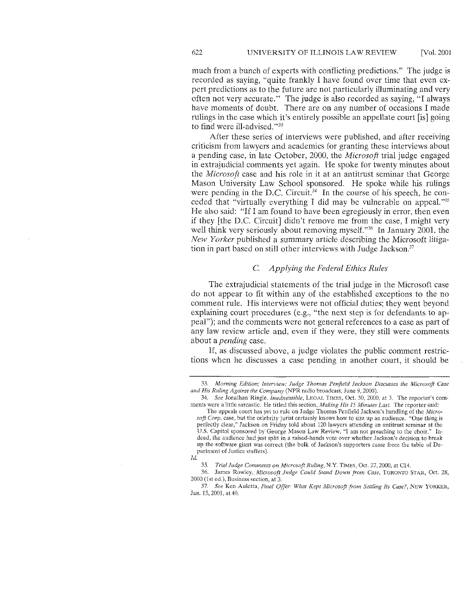much from a bunch of experts with conflicting predictions." The judge is recorded as saying, "quite frankly I have found over time that even expert predictions as to the future are not particularly illuminating and very often not very accurate." The judge is also recorded as saying. "I always have moments of doubt. There are on any number of occasions I made rulings in the case which it's entirely possible an appellate court [is] going to find were ill-advised."<sup>33</sup>

After these series of interviews were published, and after receiving criticism from lawyers and academics for granting these interviews about a pending case, in late October, 2000, the *Microsoft* trial judge engaged in extrajudicial comments yet again. He spoke for twenty minutes about the *Microsoft* case and his role in it at an antitrust seminar that George Mason University Law School sponsored. He spoke while his rulings were pending in the D.C. Circuit.<sup>34</sup> In the course of his speech, he conceded that "virtually everything I did may be vulnerable on appeal. "35 He also said: "If I am found to have been egregiously in error, then even if they [the D.C. Circuit) didn't remove me from the case, I might very well think very seriously about removing myself."<sup>36</sup> In January 2001, the *New Yorker* published a summary article describing the Microsoft litigation in part based on still other interviews with Judge Jackson.<sup>37</sup>

### C. *Applying the Federal Ethics Rules*

The extrajudicial statements of the trial judge in the Microsoft case do not appear to fit within any of the established exceptions to the no comment rule. His interviews were not official duties; they went beyond explaining court procedures (e.g., "the next step is for defendants to appeal"); and the comments were not general references to a case as part of any law review article and, even if they were, they still were comments about a *pending* case.

If, as discussed above, a judge violates the public comment restrictions when he discusses a case pending in another court, it should be

34. *See* Jonathan Ringle, *Inadmissible,* LEGAL TlMES, Oct 30, 2000, at 3. The reporter's comments were a little sarcastic. He titled this section, *Making His 75 Minutes Last.* The reporter said:

The appeals court has yet to rule on Judge Thomas Penfield Jackson's handling of the *Microsoft Cmp.* case, but the celebrity jurist certainly knows how to size up an audience. "One thing is perfectly clear," Jackson on Friday told about 120 lawyers attending an antitrust seminar at the U.S. Capitol sponsored by George Mason Law Review, "I am not preaching to the choir." Indeed, the audience had just split in a raised-hands vote over whether Jackson's decision to break up the software giant was correct (the bulk of Jackson's supporters came from the table of Department of Justice staffers).

35. *Trial Judge Comments on Microsoft Ruling,* N.Y. TJMES, Oct. 27, 2000, at C14.

36. James Rowley, *Microsoft Judge Could Stand Down from Case*, TORONTO STAR, Oct. 28, 2000 (1st ed.), Business section, at 3.

37. *See* Ken Auletta, *Final Offer: What Kept Microsoft from Settling Its Case?,* NEW YORKER, Jan. 15, 2001, at 40.

<sup>33.</sup> *Morning Edition; Interview: Judge Thomas Penfield Jackson Discusses the Microsoft Case and His Ruling Against the Company* (NPR radio broadcast, June 9, 2000).

*ld.*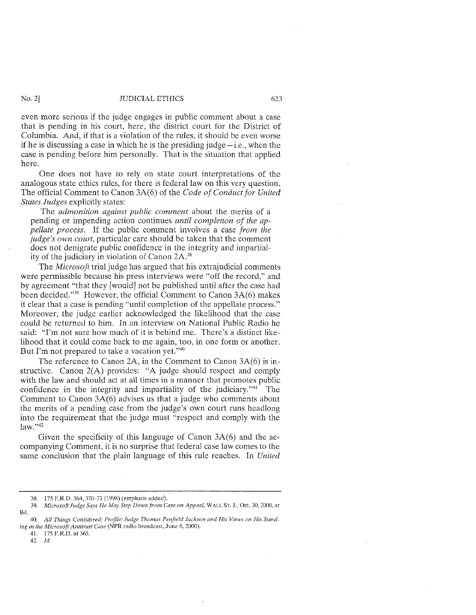even more serious if the judge engages in public comment about a case that is pending in his court, here, the district court for the District of Columbia. And, if that is a violation of the rules, it should be even worse if he is discussing a case in which he is the presiding judge-i.e., when the case is pending before him personally. That is the situation that applied here.

One does not have to rely on state court interpretations of the analogous state ethics rules, for there is federal law on this very question. The official Comment to Canon 3A(6) of the *Code of Conduct for United States Judges* explicitly states:

The *admonition against public comment* about the merits of a pending or impending action continues *until completion of the appellate process.* If the public comment involves a case *from the judge's own court,* particular care should be taken that the comment does not denigrate public confidence in the integrity and impartiality of the judiciary in violation of Canon 2A.38

The *Microsoft* trial judge has argued that his extrajudicial comments were permissible because his press interviews were "off the record," and by agreement "that they [would] not be published until after the case had been decided."39 However, the official Comment to Canon 3A(6) makes it clear that a case is pending "until completion of the appellate process." Moreover, the judge earlier acknowledged the likelihood that the case could be returned to him. In an interview on National Public Radio he said: "I'm not sure how much of it is behind me. There's a distinct likelihood that it could come back to me again, too, in one form or another. But I'm not prepared to take a vacation yet."40

The reference to Canon 2A, in the Comment to Canon 3A(6) is instructive. Canon 2(A) provides: "A judge should respect and comply with the law and should act at all times in a manner that promotes public confidence in the integrity and impartiality of the judiciary.<sup>"41</sup> The Comment to Canon 3A(6) advises us that a judge who comments about the merits of a pending case from the judge's own court runs headlong into the requirement that the judge must "respect and comply with the law. "42

Given the specificity of this language of Canon 3A(6) and the accompanying Comment, it is no surprise that federal case law comes to the same conclusion that the plain language of this rule reaches. In *United* 

41. 175 F.R.D. at 365.

42. *!d.* 

<sup>38. 175</sup> F.RD. 364,370-71 (1998) (emphasis added).

<sup>39.</sup> *Microsoft Judge Says He May Step Down from Case on Appeal,* WALL ST. J., Oct. 30, 2000, at  $\mathsf{F}4$ 

<sup>40.</sup> All Things Considered; Profile: Judge Thomas Penfield Jackson and His Views on His Stand*ing in the Microsoft Antitrust Case* (NPR radio broadcast, June 8, 2000).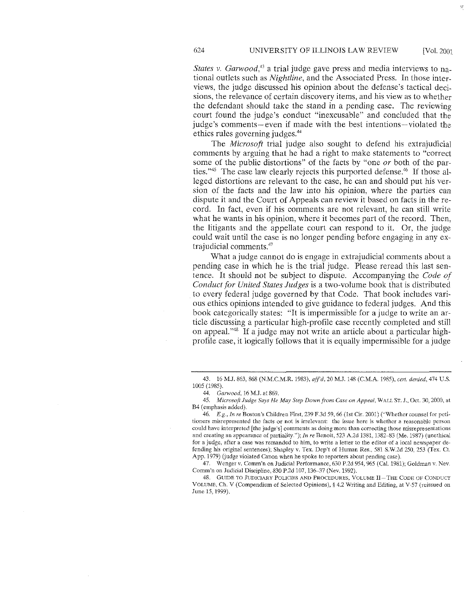*States v. Garwood,43* a trial judge gave press and media interviews to national outlets such as *Nightline,* and the Associated Press. In those interviews, the judge discussed his opinion about the defense's tactical decisions, the relevance of certain discovery items, and his view as to whether the defendant should take the stand in a pending case. The reviewing court found the judge's conduct "inexcusable" and concluded that the judge's comments-even if made with the best intentions-violated the ethics rules governing judges.44

The *Microsoft* trial judge also sought to defend his extrajudicial comments hy arguing that he had a right to make statements to "correct some of the public distortions" of the facts by "one *or* both of the parties."<sup>45</sup> The case law clearly rejects this purported defense.<sup>46</sup> If those alleged distortions are relevant to the case, he can and should put his version of the facts and the law into his opinion, where the parties can dispute it and the Court of Appeals can review it based on facts in the record. In fact, even if his comments are not relevant, he can still write what he wants in his opinion, where it becomes part of the record. Then, the litigants and the appellate court can respond to it. Or, the judge could wait until the case is no longer pending before engaging in any extrajudicial comments.47

What a judge cannot do is engage in extrajudicial comments about a pending case in which he is the trial judge. Please reread this last sentence. It should not be subject to dispute. Accompanying the *Code of Conduct for United States Judges* is a two-volume book that is distributed to every federal judge governed by that Code. That book includes various ethics opinions intended to give guidance to federal judges. And this book categorically states: "It is impermissible for a judge to write an article discussing a particular high-profile case recently completed and still on appeal."48 If a judge may not write an article about a particular highprofile case, it logically follows that it is equally impermissible for a judge

47. Wenger v. Comm'n on Judicial Performance, 630 P.2d 954, 965 (Cal. 1981); Goldman v. Nev. Comm'n on Judicial Discipline, 830 P.2d 107, 136-37 (Nev. 1992).

48. GUIDE TO JUDICIARY POLICIES AND PROCEDURES, VOLUME II-THE CODE OF CONDUCT VOLUME, Ch. V (Compendium of Selected Opinions),§ 4.2 Writing and Editing, at V-57 (reissued on June 15, 1999).

<sup>43. 16</sup> M.J. 863, 868 (N.M.C.M.R. 1983), aff'd, 20 M.J. 148 (C.M.A. 1985), cert. denied, 474 U.S. 1005 (1985).

<sup>44.</sup> *Garwood,* 16 M.J. at 869.

<sup>45.</sup> *Microsoft Judge Says He May Step Down from Case on Appeal,* WALL ST. J., Oct. 30, 2000, at B4 (emphasis added).

<sup>46.</sup> *E.g., In re* Boston's Children First, 239 F.3d 59,66 (1st Cir. 2001) ("Whether counsel for petitioners misrepresented the facts or not is irrelevant: the issue here is whether a reasonable person could have interpreted [the judge's] comments as doing more than correcting those misrepresentations and creating an appearance of partiality."); *In re* Benoit, 523 A.2d 1381, 1382-83 (Me. 1987) (unethical for a judge, after a case was remanded to him, to write a letter to the editor of a local newspaper defending his original sentences); Shapley v. Tex. Dep't of Human Res., 581 S.W.2d 250, 253 (Tex. Ct. App. 1979) (judge violated Canon when he spoke to reporters about pending case).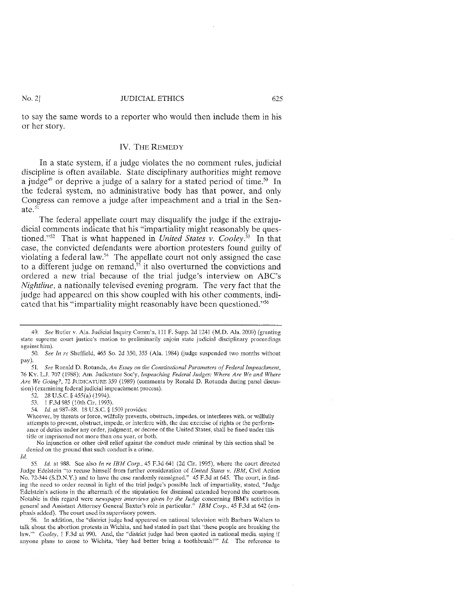to say the same words to a reporter who would then include them in his or her story.

### IV. THE REMEDY

In a state system, if a judge violates the no comment rules, judicial discipline is often available. State disciplinary authorities might remove a judge<sup>49</sup> or deprive a judge of a salary for a stated period of time.<sup>50</sup> In the federal system, no administrative body has that power, and only Congress can remove a judge after impeachment and a trial in the Senate. $51$ 

The federal appellate court may disqualify the judge if the extrajudicial comments indicate that his "impartiality might reasonably be questioned."52 That is what happened in *United States v. Cooley.53* In that case, the convicted defendants were abortion protesters found guilty of violating a federal law.<sup>54</sup> The appellate court not only assigned the case to a different judge on remand,  $\frac{1}{5}$  it also overturned the convictions and ordered a new trial because of the trial judge's interview on ABC's *Nightline,* a nationally televised evening program. The very fact that the judge had appeared on this show coupled with his other comments, indicated that his "impartiality might reasonably have been questioncd."56

52. 28 U.S.C. § 455(a) (1994).

53. 1 F.3d 985 (10th Cir. 1993).

54. *Id.* at 987-88. 18 U.S.C. § 1509 provides:

Whoever, by threats or force, willfully prevents, obstructs, impedes. or interferes with, or willfully attempts to prevent, obstruct, impede, or interfere with, the due exercise of rights or the performance of duties under any order, judgment, or decree of the United States, shall be fined under this title or imprisoned not more than one year, or both.

No injunction or other civil relief against the conduct made criminal by this section shall be denied on the ground that such conduct is a crime. *!d.* 

55. *!d.* at 988. See also *In re IBM Corp.,* 45 F.3d 64J (2d Cir. 1995), where the court directed Judge Edelstein "to recuse himself from further consideration of *United Stares v. IBM,* Civil Action No. 72·344 (S.D.N.Y.) and to have the case randomly reassigned." 45 F.3d at 645. The court, in finding the need to order recusal in light of the trial judge's possible lack of impartiality, stated, "Judge Edelstein's actions in the aftermath of the stipulation for dismissal extended beyond the courtroom. Notable in this regard were *newspaper interviews given by the Judge* concerning IBM's activities in general and Assistant Attorney General Baxter's role in particular." *IBM Corp.,* 45 F.3d at 642 (emphasis added). The court used its supervisory powers.

56. In addition, the "district judge had appeared on national television with Barbara Walters to talk about the abortion protests in Wichita, and had stated in part that 'these people are breaking the law."" *Cooley*, 1 F.3d at 990. And, the "district judge had been quoted in national media saying if anyone plans to come to Wichita, 'they had better bring a toothbrush!"' *!d.* The reference to

<sup>49.</sup> *See* Butler v. Ala. Judicial Inquiry Comm'n, 111 F. Supp. 2d 1241 (M.D. Ala. 2000) (granting state supreme court justice's motion to preliminarily enjoin state judicial disciplinary proceedings against him).

<sup>50.</sup> *See In re* Sheffield, 465 So. 2d 350, 355 (Ala. 1984) Qudge suspended two months without pay).

<sup>51.</sup> *See* Ronald D. Rotunda, *An Essay on the Constitutional Parameters of Federal Impeachment,*  76 KY. L.J. 707 (1988); Am. Judicature Soc'y, *lmpeaching Federal Judges: Where Are We and Where Are We Going?,* 72 JUDTCATURE 359 (1989) (comments by Ronald D. Rotunda during panel discussion) (examining federal judicial impeachment process).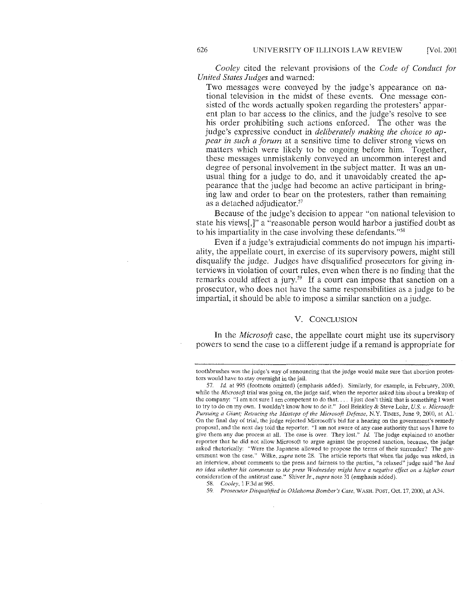*Cooley* cited the relevant provisions of the *Code of Conduct for United States Judges* and warned:

Two messages were conveyed by the judge's appearance on national television in the midst of these events. One message consisted of the words actually spoken regarding the protesters' apparent plan to bar access to the clinics, and the judge's resolve to see his order prohibiting such actions enforced. The other was the judge's expressive conduct in *deliberately making the choice to appear in such a forum* at a sensitive time to deliver strong views on matters which were likely to be ongoing before him. Together, these messages unmistakenly conveyed an uncommon interest and degree of personal involvement in the subject matter. It was an unusual thing for a judge to do, and it unavoidably created the appearance that the judge had become an active participant in bringing law and order to bear on the protesters, rather than remaining as a detached adjudicator.<sup>57</sup>

Because of the judge's decision to appear "on national television to state his views[,]" a "reasonable person would harbor a justified doubt as to his impartiality in the case involving these defendants. "58

Even if a judge's extrajudicial comments do not impugn his impartiality, the appellate court, in exercise of its supervisory powers, might still disqualify the judge. Judges have disqualified prosecutors for giving interviews in violation of court rules, even when there is no finding that the remarks could affect a jury.<sup>59</sup> If a court can impose that sanction on a prosecutor, who does not have the same responsibilities as a judge to be impartial, it should be able to impose a similar sanction on a judge.

#### V. CONCLUSION

In the *Microsoft* case, the appellate court might use its supervisory powers to send the case to a different judge if a remand is appropriate for

58. *Cooley,* 1 F.3d at 995.

59. *Prosecutor Disqualified in Oklahoma Bomber's Case,* WASH. PosT, Oct. 17, 2000, at A34.

toothbrushes was the judge's way of announcing that the judge would make sure that abortion protestors would have to stay overnight in the jail.

<sup>57.</sup> *!d.* at 995 (footnote omitted) (emphasis added). Similarly, for example, in February, 2000, while the *Microsoft* trial was going on, the judge said, when the reporter asked him about a breakup of the company: "I am not sure I am competent to do that. ... I just don't think that is something 1 want to try to do on my own. I wouldn't know how to do it." Joel Brinkley & Steve Lohr, *U.S v. Microsoft: Pursuing a Giant; Retracing the Missteps of the Microsoft Defense, N.Y. TIMES, June 9, 2000, at A1.* On the final day of trial, the judge rejected Microsoft's bid for a bearing on the government's remedy proposal, and the next day told the reporter: "I am not aware of any case authority that says J have to give them any due process at all. The case is over. They lost." *Id.* The judge explained to another reporter that he did not allow Microsoft to argue against the proposed sanction, because, the judge asked rhetorically: "Were the Japanese allowed to propose the terms of their surrender? The government won the case." Wilke, *supra* note 28. The article reports that when the judge was asked, in an interview, about comments to the press and fairness to the parties, "a relaxed" judge said "he *had no idea whether his comments to the press Wednesday might have a negative effect on a higher court*  consideration of the antitrust case." Shiver Jr., *supra* note 31 (emphasis added).